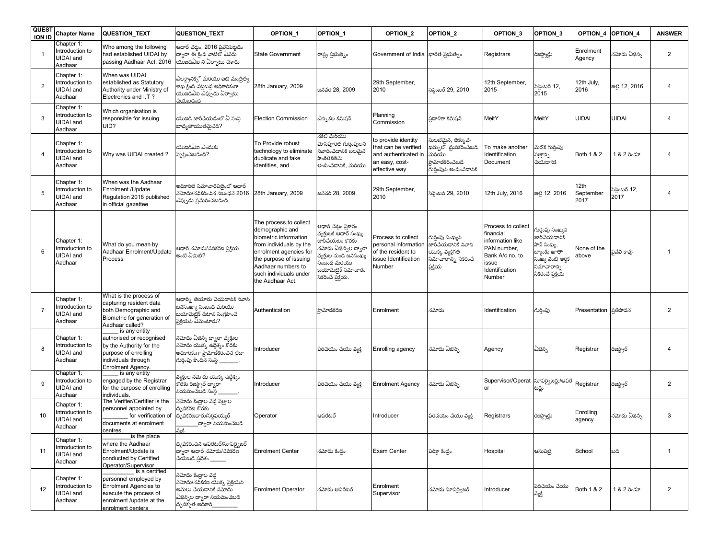| <b>QUEST</b><br><b>ION ID</b> | <b>Chapter Name</b>                                          | <b>QUESTION TEXT</b>                                                                                                                               | QUESTION_TEXT                                                                                                                  | <b>OPTION 1</b>                                                                                                                                                                                                        | OPTION 1                                                                                                                                                                                                             | OPTION <sub>2</sub>                                                                                    | OPTION <sub>2</sub>                                                                                             | OPTION 3                                                                                                                   | OPTION 3                                                                                                                  | OPTION 4                  | OPTION 4               | <b>ANSWER</b>  |
|-------------------------------|--------------------------------------------------------------|----------------------------------------------------------------------------------------------------------------------------------------------------|--------------------------------------------------------------------------------------------------------------------------------|------------------------------------------------------------------------------------------------------------------------------------------------------------------------------------------------------------------------|----------------------------------------------------------------------------------------------------------------------------------------------------------------------------------------------------------------------|--------------------------------------------------------------------------------------------------------|-----------------------------------------------------------------------------------------------------------------|----------------------------------------------------------------------------------------------------------------------------|---------------------------------------------------------------------------------------------------------------------------|---------------------------|------------------------|----------------|
| $\overline{1}$                | Chapter 1:<br>Introduction to<br>UIDAI and<br>Aadhaar        | Who among the following<br>had established UIDAI by<br>passing Aadhaar Act, 2016                                                                   | ఆధార్ చట్టం, 2016 ప్రవేసపెట్టడం<br>ద్వారా ఈ కింది వాటిలో ఏవరు<br>యుఐడిఏఐ ని ఏరా్టు చేశారు                                      | <b>State Government</b>                                                                                                                                                                                                | రాష్ట్ర ప్రభుత్వం                                                                                                                                                                                                    | Government of India                                                                                    | భారత ప్రభుత్వం                                                                                                  | Registrars                                                                                                                 | రిజస్ట్రార్లు                                                                                                             | Enrolment<br>Agency       | నమోదు ఏజెన్సి          | $\overline{2}$ |
| $\overline{2}$                | Chapter 1:<br>Introduction to<br>UIDAI and<br>Aadhaar        | When was UIDAI<br>established as Statutory<br>Authority under Ministry of<br>Electronics and I.T?                                                  | ఎలక్ట్రానిక్న్ మరియు ఐటి మంత్రిత్వ<br>శాఖ క్రింద చట్టబద్ధ అధికారికంగా<br>యుఐడిఏఐ ఏప్పుడు ఏర్పాటు<br>చేయబడింది                  | 28th January, 2009                                                                                                                                                                                                     | జనవరి 28, 2009                                                                                                                                                                                                       | 29th September,<br>2010                                                                                | సెప్టెంబర్ 29, 2010                                                                                             | 12th September.<br>2015                                                                                                    | సెప్టెంబర్ 12,<br>2015                                                                                                    | 12th July,<br>2016        | <b>සව 12, 2016</b>     | $\overline{4}$ |
| 3                             | Chapter 1:<br>Introduction to<br><b>UIDAI</b> and<br>Aadhaar | Which organisation is<br>responsible for issuing<br>UID?                                                                                           | యుఐడి జారీచేయడంలో ఏ సంస్థ<br>బాధ్యతాయుతమెనది?                                                                                  | <b>Election Commission</b>                                                                                                                                                                                             | ఎన్ని కల కమిషన్                                                                                                                                                                                                      | Planning<br>Commission                                                                                 | పణాళికా కమిషన్                                                                                                  | MeitY                                                                                                                      | MeitY                                                                                                                     | <b>UIDAI</b>              | <b>UIDAI</b>           | $\overline{4}$ |
| $\overline{4}$                | Chapter 1:<br>ntroduction to<br><b>UIDAI</b> and<br>Aadhaar  | Why was UIDAI created?                                                                                                                             | .<br>యుఐడిఏఐ ఎందుకు<br>సృష్టించబడింది <mark>?</mark>                                                                           | To Provide robust<br>technology to eliminate<br>duplicate and fake<br>identities, and                                                                                                                                  | నకిలీ మరియు<br>మోసపూరిత గుర్తింపులని<br>నివారించడానికి బలమైన<br>సాంకేతికతను<br>అందించడానికి, మరియు                                                                                                                   | to provide identity<br>that can be verified<br>and authenticated in<br>an easy, cost-<br>effective way | .<br>ఘలభమైన, తక్కువ-<br>ఖర్చుల్ ధ్రువికరించబడి<br>మరియు<br>.<br>పామాణీకరించబడే<br>.<br>గురింపుని అందించడానికి   | To make another<br>Identification<br>Document                                                                              | మరొక గుర్తింపు<br>పత్రాన్ని<br>చేయడానికి                                                                                  | Both 1 & 2                | 1 & 2 రెండూ            | 4              |
| 5                             | Chapter 1:<br>ntroduction to<br><b>UIDAI</b> and<br>Aadhaar  | When was the Aadhaar<br>Enrolment / Update<br>Regulation 2016 published<br>in official gazettee                                                    | అధికారిత సమాచారపత్రంలో ఆధార్<br>నమోదు/నవికరించిన నిబంధన 2016<br>ఎప్పుడు ప్రచురించబడింది                                        | 28th January, 2009                                                                                                                                                                                                     | జనవరి 28, 2009                                                                                                                                                                                                       | 29th September,<br>2010                                                                                | ుప్టెంబర్ 29, 2010                                                                                              | 12th July, 2016                                                                                                            | <b>ස</b> ව 12, 2016                                                                                                       | 12th<br>September<br>2017 | సెప్టెంబర్ 12,<br>2017 | $\overline{4}$ |
| 6                             | Chapter 1:<br>ntroduction to<br><b>UIDAI</b> and<br>Aadhaar  | What do you mean by<br>Aadhaar Enrolment/Update<br>Process                                                                                         | ఆధార్ నమోదు/నవీకరణ పకియ<br>అంటి ఏమిటి?                                                                                         | The process, to collect<br>demographic and<br>biometric information<br>from individuals by the<br>enrolment agencies for<br>the purpose of issuing<br>Aadhaar numbers to<br>such individuals under<br>the Aadhaar Act. | ఆధార్ చట్టం ప్రకారం<br>వ్యక్తులకి ఆధార్ సంఖ్య<br><br>జారీచేయటం కొరకు<br>.<br>నమోదు ఏజెన్సిల ద్వారా<br>వ్యక్తుల నుండి జనసంఖ్య<br>సంబంధ మరి <mark>యు</mark><br>బయోమెట్రిక్ సమాచా <mark>రం</mark><br>సేకరించే ప్రక్రియ. | Process to collect<br>personal information<br>of the resident to<br>issue Identification<br>Number     | గుర్తింపు సంఖ్యని<br>జార్ౖేయడానికి నివాసి<br>యొక్క వ్యక్తి <mark>గ</mark> త<br>సమాచారాన్ని సేకరించే<br>ప్రక్రియ | Process to collect<br>financial<br>information like<br>PAN number,<br>Bank A/c no. to<br>issue<br>Identification<br>Number | గుర్తింపు సంఖ్యని<br>జారీచేయడానికి<br>పాన్ సంఖ్య,<br>బ్యాంకు ఖాతా<br>సంఖ్య వంటి ఆర్థిక<br>సమాచారాని<br>సేకరించే ప్రక్రియే | None of the<br>above      | పెవేవి కావు            | -1             |
| $\overline{7}$                | Chapter 1:<br>Introduction to<br><b>UIDAI</b> and<br>Aadhaar | What is the process of<br>capturing resident data<br>both Demographic and<br>Biometric for generation of<br>Aadhaar called?                        | ఆధార్ని తయారు చేయడానికి నివాసి<br>జనసంఖ్యా సంబంధ మరియు<br>.<br>బయోమెట్రిక్ డేటాని సంగ్రహించే<br>ప్రక్రియని ఏమంటారు?            | Authentication                                                                                                                                                                                                         | పామాణీకరణ                                                                                                                                                                                                            | Enrolment                                                                                              | నమోదు                                                                                                           | Identification                                                                                                             | గుర్తింపు                                                                                                                 | Presentation              | పతిపాదన                | $\overline{2}$ |
| 8                             | Chapter 1:<br>Introduction to<br><b>UIDAI</b> and<br>Aadhaar | is any entity<br>authorised or recognised<br>by the Authority for the<br>purpose of enrolling<br>individuals through<br><b>Enrolment Agency.</b>   | నమోదు ఏజెన్సి ద్యారా వ్యక్తుల<br>నమోదు యొక్క ఉద్దేశ్యం కోరకు<br>అధికారికంగా ప్రామాణికరించిన లేదా<br>గుర్తింపు పొందిన సంస్థ     | Introducer                                                                                                                                                                                                             | పరిచయం చేయు వ్యక్తి                                                                                                                                                                                                  | Enrolling agency                                                                                       | నమోదు ఏజెన్సి                                                                                                   | Agency                                                                                                                     | ఏౙెన్సి                                                                                                                   | Registrar                 | రిజస్ట్రార్            | $\overline{4}$ |
| 9                             | Chapter 1:<br>Introduction to<br>UIDAI and<br>Aadhaar        | is any entity<br>engaged by the Registrar<br>for the purpose of enrolling<br>individuals.                                                          | వ్యక్తుల నమోదు యొక్క ఉద్దేశ్యం<br>.<br>కారకు రిజస్ట్రార్ ద్వారా<br>రియమించబడే సంస్థ                                            | Introducer                                                                                                                                                                                                             | పరిచయం చేయు వ్యక్తి                                                                                                                                                                                                  | <b>Enrolment Agency</b>                                                                                | <mark>నమోదు ఏజెన</mark> ్సి                                                                                     | Supervisor/Operat<br>or                                                                                                    | సూపర్వైజర్లు/ఆపరే<br>టర్లు                                                                                                | Registrar                 | రిజస్ట్రార్            | $\overline{2}$ |
| 10                            | Chapter 1:<br>ntroduction to<br><b>UIDAI</b> and<br>Aadhaar  | The Verifier/Certifier is the<br>personnel appointed by<br>for verification of<br>documents at enrolment<br>centres.                               | నమోదు కేంద్రాల వద్ద పత్రాల<br>ధృవికరణ కొరకు<br>ధృవీకరణదారు/సర్లిఫయ్యర్<br>_ద్వారా నియమించబడే<br>వంకి.                          | Operator                                                                                                                                                                                                               | ఆపరేటర్                                                                                                                                                                                                              | Introducer                                                                                             | పరిచయం చేయు వ్యకి                                                                                               | Registrars                                                                                                                 | రిజస్ట్రార్లు                                                                                                             | Enrolling<br>agency       | నమోదు ఏజెన్సి          | 3              |
| 11                            | Chapter 1:<br>Introduction to<br>UIDAI and<br>Aadhaar        | is the place<br>where the Aadhaar<br>Enrolment/Update is<br>conducted by Certified<br>Operator/Supervisor                                          | ధృవికరించిన ఆపరేటర్/సూపర్వైజర్<br>దాంలా ఆధార్ నమోదు/నవీకరణ<br>చేయబడే ప్రదేశం ______                                            | <b>Enrolment Center</b>                                                                                                                                                                                                | నమోదు కేంద్రం                                                                                                                                                                                                        | <b>Exam Center</b>                                                                                     | పరీక్షా కేంద్రం                                                                                                 | Hospital                                                                                                                   | ఆసుపత్రి                                                                                                                  | School                    | ಬದಿ                    | $\mathbf{1}$   |
| 12                            | Chapter 1:<br>Introduction to<br><b>UIDAI</b> and<br>Aadhaar | is a certified<br>personnel employed by<br><b>Enrolment Agencies to</b><br>execute the process of<br>enrolment /update at the<br>enrolment centers | నమోదు కేంద్రాల వద్ద<br>నమోదు/నవికరణ యొక్క ప్రక్రియని<br>అమలు చేయడానికి నమోదు<br>ఏజెన్సిల దాఁరా నియమించబడే<br>ధృవికృత అధికారి__ | <b>Enrolment Operator</b>                                                                                                                                                                                              | నమోదు ఆపరేటర్                                                                                                                                                                                                        | Enrolment<br>Supervisor                                                                                | నమోదు సూపర్వైజర్                                                                                                | Introducer                                                                                                                 | పరిచయం చేయు<br>వ్యక్తి                                                                                                    | Both 1 & 2                | 1 & 2 రెండూ            | $\overline{2}$ |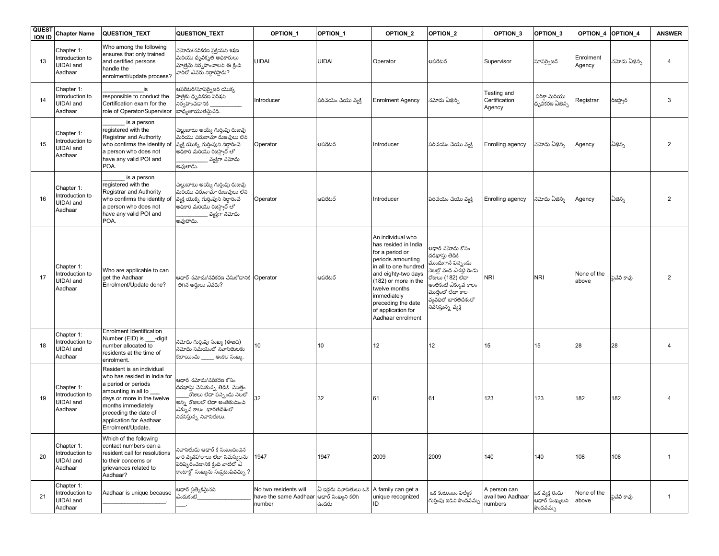| QUES <sub>1</sub><br><b>ION ID</b> | <b>Chapter Name</b>                                          | QUESTION_TEXT                                                                                                                                                                                                                        | QUESTION_TEXT                                                                                                                                                                                  | OPTION_1                                                                     | OPTION_1                         | OPTION_2                                                                                                                                                                                                                                                   | OPTION <sub>2</sub>                                                                                                                                                                                    | OPTION 3                                     | OPTION <sub>3</sub>                                        | OPTION 4             | <b>OPTION 4</b> | <b>ANSWER</b>  |
|------------------------------------|--------------------------------------------------------------|--------------------------------------------------------------------------------------------------------------------------------------------------------------------------------------------------------------------------------------|------------------------------------------------------------------------------------------------------------------------------------------------------------------------------------------------|------------------------------------------------------------------------------|----------------------------------|------------------------------------------------------------------------------------------------------------------------------------------------------------------------------------------------------------------------------------------------------------|--------------------------------------------------------------------------------------------------------------------------------------------------------------------------------------------------------|----------------------------------------------|------------------------------------------------------------|----------------------|-----------------|----------------|
| 13                                 | Chapter 1:<br>Introduction to<br>UIDAI and<br>Aadhaar        | Who among the following<br>ensures that only trained<br>and certified persons<br>handle the<br>enrolment/update process?                                                                                                             | నమోదు/నవీకరణ ప్రక్రియని శి <mark>క్షణ</mark><br>మరియు ధృవికృత అధికారులు<br>మాత్రమే నిర్వహించాలని ఈ క్రింది<br>వారిలో ఎవరు నిరారిస్తారు?                                                        | <b>UIDAI</b>                                                                 | <b>UIDAI</b>                     | Operator                                                                                                                                                                                                                                                   | ఆపరేటర్                                                                                                                                                                                                | Supervisor                                   | సూపర్యెజర్                                                 | Enrolment<br>Agency  | నమోదు ఏజెన్సి   | 4              |
| 14                                 | Chapter 1:<br>Introduction to<br><b>UIDAI</b> and<br>Aadhaar | is<br>responsible to conduct the<br>Certification exam for the<br>role of Operator/Supervisor                                                                                                                                        | ఆపరేటర్/సూపర్వైజర్ యొక్క<br>పాత్రకు ధృవీకరణ పరీకని<br>నిర్వహించడానికి<br>బాధ్యతాయుతమైనది.                                                                                                      | Introducer                                                                   | పరిచయం చేయు వ్యక్తి              | <b>Enrolment Agency</b>                                                                                                                                                                                                                                    | న <mark>మోదు ఏజెన</mark> ్సి                                                                                                                                                                           | Testing and<br>Certification<br>Agency       | పరీకా మరియు<br>ధృవికరణ ఏజెన్సి                             | Registrar            | రిజిస్ట్రార్    | 3              |
| 15                                 | Chapter 1:<br>Introduction to<br><b>UIDAI</b> and<br>Aadhaar | is a person<br>registered with the<br>Registrar and Authority<br>who confirms the identity of<br>a person who does not<br>have any valid POI and<br>POA.                                                                             | చెల్లుబాటు అయ్యే గుర్తింపు రుజువు<br>మరియు చిరునామా రుజువులు లేని<br>వ్యక్తి యొక్క గుర్తింపుని నిర్ధారించే<br>అధికారి మరియు రిజిస్ట్రార్ లో<br>వ్యక్తిగా నమోదు<br>అవుతాడు                      | Operator                                                                     | ఆపరేటర్                          | Introducer                                                                                                                                                                                                                                                 | పరిచయం చేయు వ్యకి                                                                                                                                                                                      | Enrolling agency                             | నమోదు ఏజెన్సి                                              | Agency               | ವಿಫನ್ಸಿ         | $\overline{2}$ |
| 16                                 | Chapter 1:<br>Introduction to<br><b>UIDAI</b> and<br>Aadhaar | is a person<br>registered with the<br>Registrar and Authority<br>who confirms the identity of<br>a person who does not<br>have any valid POI and<br>POA.                                                                             | చెల్లుబాటు అయ్యే గుర్తింపు రుజావు<br>మరియు చిరునామా రుజువులు లేని<br>వ్యక్తి యొక్క గుర్తింపుని నిర్ధారించే<br>అధికారి మరియు రిజిస్ట్రార్ లో<br>్షవ్యకిగా నమోదు<br>అవుతాడు.                     | Operator                                                                     | ఆపరేటర్                          | Introducer                                                                                                                                                                                                                                                 | పరిచయం చేయు వ్యక్తి                                                                                                                                                                                    | Enrolling agency                             | నమోదు ఏజెన్సి                                              | Agency               | ವಿಫನ್ಸಿ         | $\overline{2}$ |
| 17                                 | Chapter 1:<br>Introduction to<br>UIDAI and<br>Aadhaar        | Who are applicable to can<br>get the Aadhaar<br>Enrolment/Update done?                                                                                                                                                               | ఆధార్ నమోదు/నవీకరణ చేసుకోడానికి Operator<br>తగిన అర్హులు ఎవరు?                                                                                                                                 |                                                                              | ఆపరేటర్                          | An individual who<br>has resided in India<br>for a period or<br>periods amounting<br>in all to one hundred<br>and eighty-two days<br>(182) or more in the<br>twelve months<br>immediately<br>preceding the date<br>of application for<br>Aadhaar enrolment | ఆధార్ నమోదు కోసం<br>దరఖాస్తు తేదీకి<br>.<br>ముందుగానే పన్నెండు<br>నెలలో వంద ఎనభై రెండు<br>రోజులు (182) లేదా<br>అంతకంటే ఎక్కువ కాలం<br>మొత్తంలో లేదా కాల<br>వ్యవధిలో భారతదేశంలో<br>నివసిస్తున్న వ్యక్తి | <b>NRI</b>                                   | <b>NRI</b>                                                 | None of the<br>above | పైవేవీ కావు     | $\overline{2}$ |
| 18                                 | Chapter 1:<br>ntroduction to<br>UIDAI and<br>Aadhaar         | Enrolment Identification<br>Number (EID) is -digit<br>number allocated to<br>residents at the time of<br>enrolment.                                                                                                                  | నమోదు గుర్తింపు సంఖ్య (ఈఐడి)<br>నమోదు సమయంలో నివాసితులకు<br>కేటాయించు అంకెల సంఖ్య.                                                                                                             | 10                                                                           | 10                               | 12                                                                                                                                                                                                                                                         | 12                                                                                                                                                                                                     | 15                                           | 15                                                         | 28                   | 28              | $\overline{4}$ |
| 19                                 | Chapter 1:<br>ntroduction to<br><b>UIDAI</b> and<br>Aadhaar  | Resident is an individual<br>who has resided in India for<br>a period or periods<br>amounting in all to<br>days or more in the twelve<br>months immediately<br>preceding the date of<br>application for Aadhaar<br>Enrolment/Update. | ఆధార్ నమోదు/నవీకరణ కోసం<br>దరఖాస్తు చేసుకున్న తేదీకి మొత్తం<br>_రోజులు లేదా పన్నెండు <mark>నెలలో</mark><br>అన్ని రోజులలో లేదా అంతకుమించి<br>ఎక్కువ కాలం భారతదేశంలో<br>నివసిస్తున్న నివాసితులు. | 32                                                                           | 32                               | 61                                                                                                                                                                                                                                                         | 61                                                                                                                                                                                                     | 123                                          | 123                                                        | 182                  | 182             |                |
| 20                                 | Chapter 1:<br>Introduction to<br>UIDAI and<br>Aadhaar        | Which of the following<br>contact numbers can a<br>resident call for resolutions<br>to their concerns or<br>grievances related to<br>Aadhaar?                                                                                        | .<br>పాసితుడు ఆధార్ కి సంబందించిన<br>వారి వ్యవహారాలు లేదా సమస్యలను<br>పరిష్టించడానికి కింది వాటిలో ఏ<br>కాంటాక్ సంఖ్యను సంప్రదింపవచ్చు ?                                                       | 1947                                                                         | 1947                             | 2009                                                                                                                                                                                                                                                       | 2009                                                                                                                                                                                                   | 140                                          | 140                                                        | 108                  | 108             | $\overline{1}$ |
| 21                                 | Chapter 1:<br>Introduction to<br>UIDAI and<br>Aadhaar        | Aadhaar is unique because                                                                                                                                                                                                            | ఆధార్ ప్రత్యేకమైనది<br>ఎందుకంటే                                                                                                                                                                | No two residents will<br>have the same Aadhaar ఆధార్ సంఖ్యని కలిగి<br>number | ఏ ఇద్దరు నివాసితులు ఒకే<br>ఉండరు | A family can get a<br>unique recognized<br>ID                                                                                                                                                                                                              | ఒక కుటుంబం పత్యేక<br>.<br>గుర్తింపు ఐడిని పొందవచ్చు                                                                                                                                                    | A person can<br>avail two Aadhaar<br>numbers | ంక వ్యక్తి రెండు<br>ఆధార్ సంఖ్యలని<br>పొందవచు <sub>ఎ</sub> | None of the<br>above | పైవేవీ కావు     | $\mathbf{1}$   |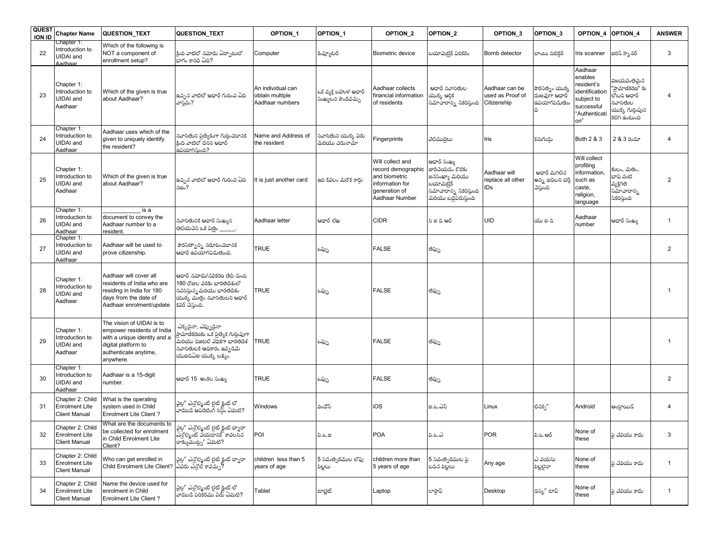| <b>QUEST</b><br><b>ION ID</b> | <b>Chapter Name</b>                                               | QUESTION_TEXT                                                                                                                                        | QUESTION_TEXT                                                                                                                                                       | <b>OPTION 1</b>                                         | OPTION 1                                    | OPTION_2                                                                                                      | OPTION_2                                                                                                                 | OPTION 3                                          | OPTION_3                                                                                   | OPTION 4                                                                                              | OPTION 4                                                                         | <b>ANSWER</b>  |
|-------------------------------|-------------------------------------------------------------------|------------------------------------------------------------------------------------------------------------------------------------------------------|---------------------------------------------------------------------------------------------------------------------------------------------------------------------|---------------------------------------------------------|---------------------------------------------|---------------------------------------------------------------------------------------------------------------|--------------------------------------------------------------------------------------------------------------------------|---------------------------------------------------|--------------------------------------------------------------------------------------------|-------------------------------------------------------------------------------------------------------|----------------------------------------------------------------------------------|----------------|
| 22                            | Chapter 1:<br>Introduction to<br>UIDAI and<br>Aadhaar             | Which of the following is<br>NOT a component of<br>enrollment setup?                                                                                 | క్రింది వాటిలో నమోదు ఏర్పాటులో<br>.<br>బాగం కానిది ఏది?                                                                                                             | Computer                                                | కంప్యూటర్                                   | Biometric device                                                                                              | బయోమెటిక్ పరికరం                                                                                                         | Bomb detector                                     | బాంబు డిటిక్టర్                                                                            | Iris scanner                                                                                          | ఐరిస్ స్కానర్                                                                    | 3              |
| 23                            | Chapter 1:<br>Introduction to<br>UIDAI and<br>Aadhaar             | Which of the given is true<br>about Aadhaar?                                                                                                         | ఇచ్చిన వాటిలో ఆధార్ గురించి ఏది<br>వాస్తవం?                                                                                                                         | An individual can<br>obtain multiple<br>Aadhaar numbers | ఒక వ్యక్తి బహుళ ఆధార్<br>సంఖ్యలని పొందవచ్చు | Aadhaar collects<br>financial information<br>of residents                                                     | ఆదార్ నివాసితుల<br>ಯುಕ್ಕು ಆರ್ಥಿ<br>సమాచారాన్ని సేకరిస్తుంది                                                              | Aadhaar can be<br>used as Proof of<br>Citizenship | పొరసత <sub>ని</sub> ం యొక్క<br><sub>.</sub><br>రుజువుగా ఆధార్<br><mark>ఉపయోగపడుతు</mark> ం | Aadhaar<br>enables<br>resident's<br>dentification<br>subject to<br>successful<br>"Authenticati<br>on" | విజయవంతమ <mark>న</mark><br>నివాసితుల<br>యొక్క గుర్తింపుని<br>కలిగి ఉంటుంది       | $\overline{4}$ |
| 24                            | Chapter 1:<br>Introduction to<br><b>UIDAI</b> and<br>Aadhaar      | Aadhaar uses which of the<br>given to uniquely identify<br>the resident?                                                                             | నివాసితుని ప్రత్యేకంగా గుర్తించడానికి<br>.<br>కింది వాటిలో దేనని ఆధార్<br>.<br>ఉపయోగిసుంది?                                                                         | Name and Address of<br>the resident                     | నివాసితుని యొక్క పేరు<br>మరియు చిరునామా     | Fingerprints                                                                                                  | వేలిముద్రలు                                                                                                              | Iris                                              | కనుగుడ్డు                                                                                  | Both 2 & 3                                                                                            | 2 & 3 రెండూ                                                                      | $\overline{4}$ |
| 25                            | Chapter 1:<br>Introduction to<br><b>JIDAI</b> and<br>Aadhaar      | Which of the given is true<br>about Aadhaar?                                                                                                         | ఇచ్చిన వాటిలో ఆధార్ గురించి ఏది<br>నిజం?                                                                                                                            | t is just another card                                  | ఇది కేవలం మరొక కారు                         | Will collect and<br>record demographic<br>and biometric<br>information for<br>generation of<br>Aadhaar Number | ఆధార్ సంఖ్య<br>.<br>జారీచేయడం కొరకు<br>జనసంఖ్యా మరియు<br>ಬಯೌಮಿಲ್ರೆక్<br>సమాచారాన్ని సేకరిస్తుంది<br>మరియు బద్ధపరుస్తుంది | Aadhaar will<br>replace all other<br>IDs          | ఆదార్ మిగిలిన<br>అన్ని ఐడీలని భర్తీ<br>చేస్తుంది                                           | Will collect<br>profiling<br>information.<br>such as<br>caste,<br>religion,<br>language               | కులం, మతం,<br>భాష వంట <mark>ి</mark><br>వ్యక్తిగత<br>సమాచారాన్ని<br>సేకరిస్తుంది | $\overline{2}$ |
| 26                            | Chapter 1:<br>Introduction to<br><b>UIDAI</b> and<br>Aadhaar      | is a<br>document to convey the<br>Aadhaar number to a<br>resident                                                                                    | నివాసితునికి ఆధార్ సంఖ్యని<br>తెలియచేసే ఒక పత్రం కాంబా                                                                                                              | Aadhaar letter                                          | ఆదార్ లేఖ                                   | <b>CIDR</b>                                                                                                   | సి ఐ డి ఆర్                                                                                                              | <b>UID</b>                                        | యు ఐ డి                                                                                    | Aadhaar<br>number                                                                                     | ఆధార్ సంఖ్య                                                                      | $\mathbf{1}$   |
| 27                            | Chapter 1:<br>Introduction to<br><b>UIDAI</b> and<br>Aadhaar      | Aadhaar will be used to<br>prove citizenship.                                                                                                        | పౌరసత్వాన్ని నిరూపించడానికి<br>.<br>ఆధార్ ఉపయోగపడుతుంది.                                                                                                            | <b>TRUE</b>                                             | ఒప్పు                                       | <b>FALSE</b>                                                                                                  | తప్పు                                                                                                                    |                                                   |                                                                                            |                                                                                                       |                                                                                  | $\overline{2}$ |
| 28                            | Chapter 1:<br>Introduction to<br>UIDAI and<br>Aadhaar             | Aadhaar will cover all<br>residents of India who are<br>residing in India for 180<br>days from the date of<br>Aadhaar enrolment/update               | ఆధార్ నమోదు/నవికరణ తేదీ నుండి<br>180 రోజుల వరకు భారతదేశంలో<br>నివసిస్తున్న మరియు భారతదేశం<br>యొక్క మొత్తం నివాసితులని ఆధార్<br>కవర్ చేస్తుంది.                      | <b>TRUE</b>                                             | ఒప్పు                                       | <b>FALSE</b>                                                                                                  | తప్పు                                                                                                                    |                                                   |                                                                                            |                                                                                                       |                                                                                  | -1             |
| 29                            | Chapter 1:<br>Introduction to<br><b>UIDAI</b> and<br>Aadhaar      | The vision of UIDAI is to<br>empower residents of India<br>with a unique identity and a<br>digital platform to<br>authenticate anytime,<br>anywhere. | ఎక్కడైనా, ఎప్పుడైనా<br>ప్రామాణీకరణకు ఒక ప్రత్యేక గుర్తింపుగా<br>.<br>మరియు డిజటల్ వేధికగా భారతదేశ<br>నివాసితులకి అధికారం ఇవ్వడమే<br>$\alpha$ waana $\alpha$ ws, es. | <b>TRUE</b>                                             | ఒప్పు                                       | <b>FALSE</b>                                                                                                  | తప్పు                                                                                                                    |                                                   |                                                                                            |                                                                                                       |                                                                                  |                |
| 30                            | Chapter 1:<br>Introduction to<br><b>UIDAI</b> and<br>Aadhaar      | Aadhaar is a 15-digit<br>number.                                                                                                                     | ఆధార్ 15 అంకెల సంఖ్య                                                                                                                                                | <b>TRUE</b>                                             | ఒప్పు                                       | <b>FALSE</b>                                                                                                  | తప్పు                                                                                                                    |                                                   |                                                                                            |                                                                                                       |                                                                                  | $\overline{2}$ |
| 31                            | Chapter 2: Child<br><b>Enrolment Lite</b><br><b>Client Manual</b> | What is the operating<br>system used in Child<br><b>Enrolment Lite Client?</b>                                                                       | చైల్డ్ ఎన్రోల్మెంట్ లైట్ క్లైంట్ లో<br>వాడబడే ఆపరేటింగ్ సిస్టం ఏమిటి?                                                                                               | Windows                                                 | విండోస్                                     | iOS                                                                                                           | ఐ.ఒ.ఎస్                                                                                                                  | Linux                                             | లినకృ్                                                                                     | Android                                                                                               | ఆంధ్రాయిడ్                                                                       | $\overline{4}$ |
|                               | Chapter 2: Child<br>Enrolment Lite<br><b>Client Manual</b>        | What are the documents to<br>be collected for enrolment<br>in Child Enrolment Lite<br>Client?                                                        | చైల్డ్ ఎన్రోల్మెంట్ లైట్ క్లైంట్ ద్వారా<br>ఎన్రోల్మెంట్ చేయడానికి కావలసిన<br>డాక్యుమేంట్స <sub>్</sub> ఏమిటి?                                                       | POI                                                     | పి.ఒ.ఐ                                      | <b>POA</b>                                                                                                    | ಪಿ.ಒ.ಎ                                                                                                                   | POR                                               | పి.ఒ.ఆర్                                                                                   | None of<br>these                                                                                      | పై వేవియు కాదు                                                                   |                |
| 33                            | Chapter 2: Child<br><b>Enrolment Lite</b><br><b>Client Manual</b> | Who can get enrolled in<br>Child Enrolment Lite Client?                                                                                              | చైల్డ్ ఎన్రోల్మెంట్ లైట్ క్లైంట్ ద్వారా<br>ఎవరు ఎన్రోల్ కావచ్చు?                                                                                                    | children less than 5<br>years of age                    | 5 సవంత్సరముల లోపు<br>పిల్లలు                | children more than<br>5 years of age                                                                          | 5 సవంత్సరముల పై<br>బడిన పిల్లలు                                                                                          | Any age                                           | ఎ వయసు<br>పిల్లలైనా                                                                        | None of<br>these                                                                                      | పై వేవియు కాదు                                                                   | $\mathbf{1}$   |
| 34                            | Chapter 2: Child<br><b>Enrolment Lite</b><br><b>Client Manual</b> | Name the device used for<br>enrolment in Child<br>Enrolment Lite Client?                                                                             | చైల్డ్ ఎన్రోల్మెంట్ లైట్ క్లైంట్ లో<br>వాడబడే పరికరము పేరు ఏమిటి?                                                                                                   | Tablet                                                  | టాబ్లెట్                                    | Laptop                                                                                                        | లాఫ్టాప్                                                                                                                 | Desktop                                           | డెస్ట్ టాప్                                                                                | None of<br>these                                                                                      | పై వేవియు కాదు                                                                   | $\mathbf{1}$   |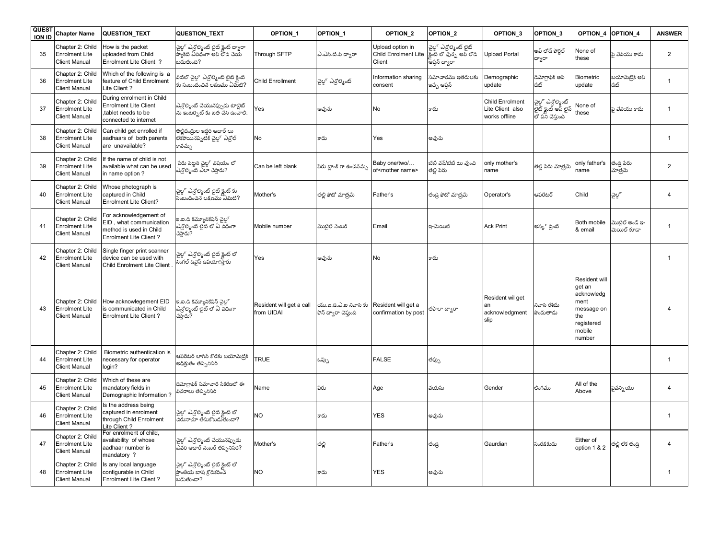| <b>QUEST</b><br><b>ION ID</b> | <b>Chapter Name</b>                                               | <b>QUESTION TEXT</b>                                                                                          | <b>QUESTION TEXT</b>                                                                      | <b>OPTION 1</b>                        | OPTION 1                                       | OPTION <sub>2</sub>                                | OPTION <sub>2</sub>                                                     | OPTION 3                                                    | OPTION_3                                                         | OPTION 4                                                                                             | OPTION 4                         | <b>ANSWER</b>  |
|-------------------------------|-------------------------------------------------------------------|---------------------------------------------------------------------------------------------------------------|-------------------------------------------------------------------------------------------|----------------------------------------|------------------------------------------------|----------------------------------------------------|-------------------------------------------------------------------------|-------------------------------------------------------------|------------------------------------------------------------------|------------------------------------------------------------------------------------------------------|----------------------------------|----------------|
| 35                            | Chapter 2: Child<br><b>Enrolment Lite</b><br>Client Manual        | How is the packet<br>uploaded from Child<br>Enrolment Lite Client ?                                           | .<br>ఎల్జ్ ఎన్రోల్మెంట్ లైట్ క్లైంట్ ద్వారా<br>ప్యాకెట్ ఏవిధంగా అప్ లోడ్ చేయ<br>బడుతుంది? | Through SFTP                           | ఎ.ఎస్.టి.పి దాంరా                              | Upload option in<br>Child Enrolment Lite<br>Client | వైల్ ఎన్టిల్మెంట్ లైట్<br>క్లేంట్ లో వున్న అప్ లోడ్<br>.<br>ఆపన్ ద్వారా | <b>Joload Portal</b>                                        | అప్ లోడ్ పోరల్<br>ద్వారా                                         | None of<br>these                                                                                     | పె వేవియు కాదు                   | $\overline{2}$ |
| 36                            | Chapter 2: Child<br><b>Enrolment Lite</b><br><b>Client Manual</b> | Which of the following is a<br>feature of Child Enrolment<br>Lite Client?                                     | విటిలో చైల్డ్ ఎన్రోల్మెంట్ లైట్ క్లైంట్<br>కు సంబందంచిన లక్షణము ఏమీటి?                    | Child Enrollment                       | చైల్గా ఎన్టోల్మెంట్                            | Information sharing<br>consent                     | .<br>పూచారము ఇతరులకు<br>ఇచ్చే ఆప్షన్                                    | Demographic<br>update                                       | <b>'మోగ్రాఫిక్ అప్</b><br>డిట్                                   | <b>Biometric</b><br>update                                                                           | బయోమెట్రిక్ అప్<br>డేట్          | $\overline{1}$ |
| 37                            | Chapter 2: Child<br><b>Enrolment Lite</b><br><b>Client Manual</b> | During enrolment in Child<br><b>Enrolment Lite Client</b><br>tablet needs to be<br>connected to internet      | ఎన్రోల్మెంట్ చేయునప్పుడు టాబ్లెట్<br>.<br>ను ఇంటర్నెట్ కు జత చేసి ఉంచాలి.                 | Yes                                    | అవును                                          | No                                                 | కాదు                                                                    | <b>Child Enrolment</b><br>Lite Client also<br>works offline | చైల్డ్ ఎన్రోల్మెంట్<br>లైట్ క్లైంట్ ఆప్ లైన్<br>లో పని చేస్తుంది | Vone of<br>these                                                                                     | పె వేవియు కాదు                   | $\overline{1}$ |
| 38                            | Chapter 2: Child<br><b>Enrolment Lite</b><br><b>Client Manual</b> | Can child get enrolled if<br>aadhaars of both parents<br>are unavailable?                                     | తల్లిదండ్రుల ఇద్దరి ఆధార్ లు<br>లేకపోయినప్పటికీ చైల్ల ఎన్టోల్<br>కావచ్చు                  | <b>No</b>                              | కాదు                                           | Yes                                                | అవును                                                                   |                                                             |                                                                  |                                                                                                      |                                  | $\overline{1}$ |
| 39                            | Chapter 2: Child<br><b>Enrolment Lite</b><br><b>Client Manual</b> | If the name of child is not<br>available what can be used<br>in name option?                                  | పేరు పెట్టని చైల్లో విషయం లో<br>ఎన్ట్మెంట్ ఎలా చేస్తారు?                                  | Can be left blank                      | పేరు బ్రాంక్ గా ఉంచవచున                        | Baby one/two/<br>of <mother name=""></mother>      | బేబీ <mark>వన్/బేబీ టు ఎ</mark> ుంచి<br>తల్లి పేరు                      | only mother's<br>name                                       | తల్లి పేరు మాత్రమే                                               | only father's<br>name                                                                                | తండ్రి పేరు<br>మాత్రమే           | $\overline{2}$ |
| 40                            | Chapter 2: Child<br><b>Enrolment Lite</b><br><b>Client Manual</b> | Whose photograph is<br>captured in Child<br><b>Enrolment Lite Client?</b>                                     | చైల్డ్ ఎన్రోల్మెంట్ లైట్ క్లైంట్ కు<br>సంబందంచిన లక్షణము ఏమిటి?                           | Mother's                               | తల్లి ఫోటో మాత్రమే                             | Father's                                           | తండి ఫోటో మాత్రమే                                                       | Operator's                                                  | ఆపరేటర్                                                          | Child                                                                                                | చైల్గ                            | $\overline{4}$ |
| 41                            | Chapter 2: Child<br><b>Enrolment Lite</b><br><b>Client Manual</b> | For acknowledgement of<br>EID, what communication<br>method is used in Child<br><b>Enrolment Lite Client?</b> | ఇ.ఐ.డి కమ్యూనికేషన్ చైల్గ్<br>ఎన్రింట్ లైట్ లో ఏ విధంగా<br>చేస్తారు?                      | Mobile number                          | మొబైల్ నెంబర్                                  | Email                                              | ఇ-మెయిల్                                                                | <b>Ack Print</b>                                            | అస్కి ప్రింట్                                                    | Both mobile<br>& email                                                                               | మొబైల్ అండ్ ఇ-<br><br>మయిల్ కూడా | $\overline{1}$ |
| 42                            | Chapter 2: Child<br><b>Enrolment Lite</b><br><b>Client Manual</b> | Single finger print scanner<br>device can be used with<br>Child Enrolment Lite Client                         | చైల్డ్ ఎన్రోల్మెంట్ లైట్ క్లైంట్ లో<br>సింగల్ డివైస్ ఉపయోగిస్తారు                         | Yes                                    | అవును                                          | <b>No</b>                                          | కాదు                                                                    |                                                             |                                                                  |                                                                                                      |                                  | $\overline{1}$ |
| 43                            | Chapter 2: Child<br><b>Enrolment Lite</b><br><b>Client Manual</b> | How acknowlegement EID<br>is communicated in Child<br><b>Enrolment Lite Client?</b>                           | ఇ.ఐ.డి కమ్యూనికేషన్ చైల్ల్<br>ఎన్టిల్మెంట్ లైట్ లో ఏ విధంగా<br>చేస్తారు?                  | Resident will get a call<br>from UIDAI | యు.ఐ.డి.ఎ.ఐ నివాసి కు<br>ఫోన్ ద్వారా చెప్తుంది | Resident will get a<br>confirmation by post        | లూ దాండి                                                                | Resident wil get<br>an<br>acknowledgment<br>slip            | నివాసి రశీదు<br>పొందుతాడు                                        | Resident will<br>get an<br>acknowledg<br>ment<br>message on<br>the<br>registered<br>mobile<br>number |                                  |                |
| 44                            | Chapter 2: Child<br>Enrolment Lite<br><b>Client Manual</b>        | Biometric authentication is<br>necessary for operator<br>login?                                               | ఆపరేటర్ లాగిన్ కొరకు బయోమెటిక్<br>అధీకుతం తప్పనిసరి                                       | <b>TRUE</b>                            | ఒప్పు                                          | <b>FALSE</b>                                       | తప్పు                                                                   |                                                             |                                                                  |                                                                                                      |                                  | $\overline{1}$ |
| 45                            | Chapter 2: Child<br><b>Enrolment Lite</b><br><b>Client Manual</b> | Which of these are<br>mandatory fields in<br>Demographic Information?                                         | డెమోగ్రాఫిక్ సమాచార సేకరణలో ఈ<br>వి <mark>వరాలు తప్పనిసరి</mark>                          | Name                                   | పేరు                                           | Age                                                | వయసు                                                                    | Gender                                                      | లింగము                                                           | All of the<br>Above                                                                                  | పైవన్ని యు                       | $\overline{4}$ |
| 46                            | Chapter 2: Child<br><b>Enrolment Lite</b><br><b>Client Manual</b> | Is the address being<br>captured in enrolment<br>through Child Enrolment<br>Lite Client?                      | చైల్డ్ ఎన్రోల్మెంట్ లైట్ క్లైంట్ లో<br>చిరునామా తీసుకోబడుతుండా?                           | N <sub>O</sub>                         | కాదు                                           | <b>YES</b>                                         | అవును                                                                   |                                                             |                                                                  |                                                                                                      |                                  | $\overline{1}$ |
| 47                            | Chapter 2: Child<br><b>Enrolment Lite</b><br><b>Client Manual</b> | For enrolment of child.<br>availability of whose<br>aadhaar number is<br>mandatory?                           | చైల్డ్ ఎన్రోల్మెంట్ చేయునప్పుడు<br>ఎవరి ఆధార్ నెంబర్ తప్పనిసరి?                           | Mother's                               | తల్లి                                          | Father's                                           | తండ్రి                                                                  | Gaurdian                                                    | సంరక్షకుడు                                                       | Either of<br>option 1 & 2                                                                            | తల్లి లేక తండ్రి                 | $\overline{4}$ |
| 48                            | Chapter 2: Child<br><b>Enrolment Lite</b><br><b>Client Manual</b> | s any local language<br>configurable in Child<br><b>Enrolment Lite Client?</b>                                | చైల్డ్ ఎన్రోల్మెంట్ లైట్ క్లైంట్ లో<br>ప్రాంతీయ బాష క్రోడ్కరించ<br>బడుతుండా?              | <b>NO</b>                              | కాదు                                           | <b>YES</b>                                         | అవును                                                                   |                                                             |                                                                  |                                                                                                      |                                  | -1             |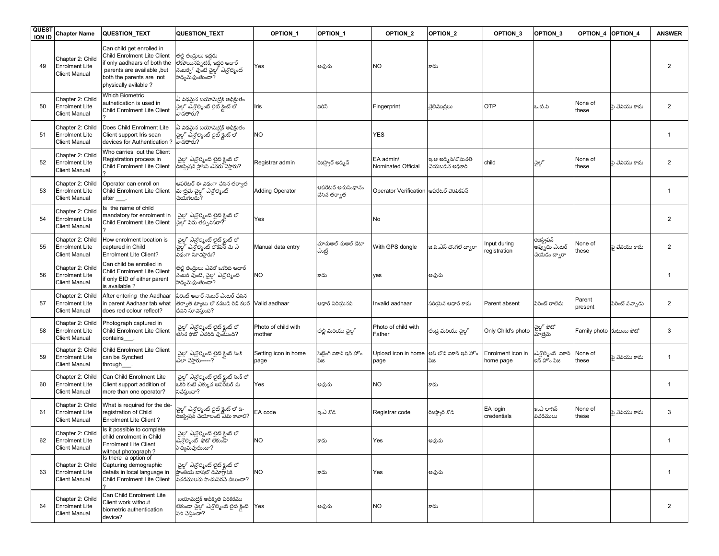| <b>QUEST</b><br><b>ION ID</b> | <b>Chapter Name</b>                                               | <b>QUESTION TEXT</b>                                                                                                                                                        | <b>QUESTION_TEXT</b>                                                                                     | <b>OPTION 1</b>               | OPTION <sub>1</sub>               | OPTION <sub>2</sub>             | OPTION <sub>2</sub>                    | OPTION 3                       | OPTION 3                                      |                           | OPTION 4 OPTION 4 | <b>ANSWER</b>  |
|-------------------------------|-------------------------------------------------------------------|-----------------------------------------------------------------------------------------------------------------------------------------------------------------------------|----------------------------------------------------------------------------------------------------------|-------------------------------|-----------------------------------|---------------------------------|----------------------------------------|--------------------------------|-----------------------------------------------|---------------------------|-------------------|----------------|
| 49                            | Chapter 2: Child<br><b>Enrolment Lite</b><br><b>Client Manual</b> | Can child get enrolled in<br>Child Enrolment Lite Client<br>if only aadhaars of both the<br>parents are available, but<br>both the parents are not<br>physically avilable ? | తల్లి తండ్రులు ఇద్దరు<br>లేకపోయినప్పటికీ, ఇద్దరి ఆధార్<br>నంబర్న వుంటి చైల్డ ఎన్రింట్<br>సాధ్యమవుంతుందా? | Yes                           | అవును                             | <b>NO</b>                       | కాదు                                   |                                |                                               |                           |                   | $\overline{2}$ |
| 50                            | Chapter 2: Child<br><b>Enrolment Lite</b><br><b>Client Manual</b> | <b>Which Biometric</b><br>authetication is used in<br>Child Enrolment Lite Client                                                                                           | ఏ విధమైన బయోమెట్రిక్ అధీక్రుతం<br>'చైల్డ్' ఎన్రోల్మెంట్ లైట్ క్లైంట్ లో<br>'వాడతారు?                     | Iris                          | ఐరిస్                             | Fingerprint                     | వేలిముద్రలు                            | <b>OTP</b>                     | ఒ.టి.పి                                       | None of<br>these          | పై వేవియు కాదు    | $\overline{2}$ |
| 51                            | Chapter 2: Child<br><b>Enrolment Lite</b><br><b>Client Manual</b> | Does Child Enrolment Lite<br>Client support Iris scan<br>devices for Authentication?                                                                                        | ఏ విధమైన బయోమెట్రిక్ అధీక్రుతం<br>, చైల్డ్ ఎన్రోల్మెంట్ లైట్ క్లైంట్<br>-<br>వాడతారు?                    | <b>NO</b>                     |                                   | <b>YES</b>                      |                                        |                                |                                               |                           |                   |                |
| 52                            | Chapter 2: Child<br><b>Enrolment Lite</b><br><b>Client Manual</b> | Who carries out the Client<br>Registration process in<br>Child Enrolment Lite Client                                                                                        | చైల్గా ఎన్టోల్మెంట్ లైట్ క్లైంట్ లో<br>రీజస్ట్రేషన్ ప్రాసెస్ ఎవరు చేస్తారు?                              | Registrar admin               | రిజిస్ట్రార్ అడ్మిన్              | EA admin/<br>Nominated Official | ఇ.ఆ అడ్మిన్/నోమినతే<br>చేయబడిన అధికారి | child                          | ವ್ದಿಲ್                                        | None of<br>these          | పె వేవియు కాదు    | $\overline{2}$ |
| 53                            | Chapter 2: Child<br><b>Enrolment Lite</b><br><b>Client Manual</b> | Operator can enroll on<br>Child Enrolment Lite Client<br>after ___.                                                                                                         | ఆపరేటర్ ఈ విధంగా చేసిన తర్వాత<br>మాత్రమే చైల్డ్" ఎన్రోల్మెంట్<br>చేయగలడు?                                | <b>Adding Operator</b>        | ఆపరేటర్ అనుసంధానం<br>చేసిన తర్వాత | <b>Operator Verification</b>    | ఆపరేటర్ వెరిఫికేషన్                    |                                |                                               |                           |                   | $\overline{1}$ |
| 54                            | Chapter 2: Child<br><b>Enrolment Lite</b><br><b>Client Manual</b> | Is the name of child<br>mandatory for enrolment in<br>Child Enrolment Lite Client                                                                                           | చైల్డ్ ఎన్రోల్మెంట్ లైట్ క్లైంట్ లో<br>ఛైల్ పేరు తప్పనిసరా?                                              | Yes                           |                                   | No                              |                                        |                                |                                               |                           |                   | $\overline{2}$ |
| 55                            | Chapter 2: Child<br><b>Enrolment Lite</b><br><b>Client Manual</b> | How enrolment location is<br>captured in Child<br><b>Enrolment Lite Client?</b>                                                                                             | చైల్డ్ ఎన్రోల్మెంట్ లైట్ క్లైంట్ లో<br>చైల్డ్ ఎన్రోల్మెంట్ లొకేషన్ ను ఎ<br>విధంగా సూచిస్తారు?            | Manual data entry             | మానుఅల్ నుఅల్ డేటా<br>ಎಟ್ರಿ       | With GPS dongle                 | జి.పి.ఎస్ దొంగలే దాంరా                 | Input during<br>registration   | రిజస్ట్రేషన్<br>అప్పుడు ఎంటర్<br>చేయడం ద్వారా | None of<br>these          | పె వేవియు కాదు    | $\overline{2}$ |
| 56                            | Chapter 2: Chilc<br><b>Enrolment Lite</b><br><b>Client Manual</b> | Can child be enrolled in<br>Child Enrolment Lite Client<br>if only EID of either parent<br>is available?                                                                    | తల్లి తండ్రులు ఎవరో ఒకరిది ఆధార్<br>నెంబర్ ఎంటి, చైల్ ఎన్టిల్మెంట్<br>.<br>సాధ్యమవుంతుందా?               | <b>NO</b>                     | కాదు                              | yes                             | అవును                                  |                                |                                               |                           |                   | $\overline{1}$ |
| 57                            | Chapter 2: Child<br><b>Enrolment Lite</b><br><b>Client Manual</b> | After entering the Aadhaar<br>in parent Aadhaar tab what<br>does red colour reflect?                                                                                        | .<br>పరెంట్ ఆధార్ నెంబర్ ఎంటర్ చేసిన<br>తర్వాత ట్యాబు లో కనబడి రెడ్ కలర్<br>దినిని సూచిస్తుంది?          | Valid aadhaar                 | ఆధార్ సరియైనది                    | Invalid aadhaar                 | సరియైన ఆధార్ కాదు                      | Parent absent                  | పీరెంట్ రాలేదు                                | Parent<br>present         | పేరెంట్ వచ్చాడు   | $\overline{2}$ |
| 58                            | Chapter 2: Child<br><b>Enrolment Lite</b><br><b>Client Manual</b> | Photograph captured in<br>Child Enrolment Lite Client<br>contains                                                                                                           | చైల్డ్ ఎన్రోల్మెంట్ లైట్ క్లైంట్ లో<br>తీసిన ఫోటో ఎవరిది వుంటుంది?                                       | Photo of child with<br>mother | తల్లి మరియు చైల్గ్                | Photo of child with<br>Father   | తండ్రి మరియు చైల్గ్                    | Only Child's photo             | చైల్డ్ ఫోటో<br>మాత్రమే                        | Family photo  కుటుంబ ఫోటో |                   | 3              |
| 59                            | Chapter 2: Child<br><b>Enrolment Lite</b><br><b>Client Manual</b> | Child Enrolment Lite Client<br>can be Synched<br>through                                                                                                                    | చైల్డ్ ఎన్రోల్మెంట్ లైట్ క్లైంట్ సింక్<br>ఎలా చేస్తారు-----?                                             | Setting icon in home<br>page  | సెట్టింగ్ ఐకాన్ ఇన్ హోం<br>ುಜ     | Upload icon in home<br>page     | అప్ లోడ్ ఐకాన్ ఇన్ హోం<br>పేజి         | Enrolment icon in<br>home page | ఎన్రోల్మెంట్ ఐకాన్<br>ఇన్ హోం పేజి            | None of<br>these          | పై వేవియు కాదు    | $\overline{1}$ |
| 60                            | Chapter 2: Child<br><b>Enrolment Lite</b><br><b>Client Manual</b> | Can Child Enrolment Lite<br>Client support addition of<br>more than one operator?                                                                                           | చైల్గా ఎన్టోల్మెంట్ లైట్ క్లైంట్ సింక్ లో<br>ఒకరి కంటే ఎక్కువ ఆపరేటర్ ను<br>సచేస్తుందా?                  | Yes                           | అవును                             | <b>NO</b>                       | కాదు                                   |                                |                                               |                           |                   | $\overline{1}$ |
| 61                            | Chapter 2: Child<br><b>Enrolment Lite</b><br><b>Client Manual</b> | What is required for the de-<br>registration of Child<br><b>Enrolment Lite Client?</b>                                                                                      | చైల్డ్ ఎన్రోల్మెంట్ లైట్ క్లైంట్ లో డి-<br>రిజిస్ట్రేషన్ చేయాలంట్ ఏమి కావాలి?                            | EA code                       | ఇ.ఎ కోడ్                          | Registrar code                  | రిజస్ట్రార్ కోడ్                       | EA login<br>credentials        | ఇ.ఎ లాగిన్<br>వివరములు                        | None of<br>these          | పె వేవియు కాదు    | 3              |
| 62                            | Chapter 2: Child<br><b>Enrolment Lite</b><br><b>Client Manual</b> | Is it possible to complete<br>child enrolment in Child<br><b>Enrolment Lite Client</b><br>without photograph?                                                               | చైల్గ్ ఎన్రోల్మెంట్ లైట్ క్లైంట్ లో<br>ఎన్రోల్మెంట్  ఫోటో లేకుండా<br>.<br>సాధ్యమవుతుందా?                 | <b>NO</b>                     | కాదు                              | Yes                             | అవును                                  |                                |                                               |                           |                   | $\mathbf{1}$   |
| 63                            | Chapter 2: Child<br><b>Enrolment Lite</b><br><b>Client Manual</b> | Is there a option of<br>Capturing demographic<br>details in local language in<br>Child Enrolment Lite Client                                                                | చైల్డ్ ఎన్రోల్మెంట్ లైట్ క్లెంట్ లో<br>ప్రాంతీయ బాషలో డెమోగాఫిక్<br>వివరములను పొందుపరచే విలుందా?         | <b>NO</b>                     | కాదు                              | Yes                             | అవును                                  |                                |                                               |                           |                   | $\overline{1}$ |
| 64                            | Chapter 2: Child<br><b>Enrolment Lite</b><br><b>Client Manual</b> | Can Child Enrolment Lite<br>Client work without<br>biometric authentication<br>device?                                                                                      | బయోమెటిక్ అధీకృత పరికరము<br>లేకుండా చైల్గా ఎన్రోల్మెంట్ లైట్ క్లెంట్<br>పని చేస్తుందా?                   | Yes                           | అవును                             | <b>NO</b>                       | కాదు                                   |                                |                                               |                           |                   | $\overline{2}$ |